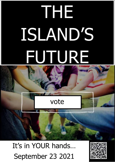# THE ISLAND'S FUTURE

# vote

It's in YOUR hands… September 23 2021

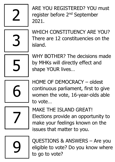2

ARE YOU REGISTERED? YOU must register before 2<sup>nd</sup> September 2021.



WHICH CONSTITUENCY ARE YOU? There are 12 constituencies on the island.



WHY BOTHER? The decisions made by MHKs will directly effect and shape YOUR lives…



HOME OF DEMOCRACY – oldest continuous parliament, first to give women the vote, 16-year-olds able to vote…



MAKE THE ISLAND GREAT! Elections provide an opportunity to make your feelings known on the issues that matter to you.

9

QUESTIONS & ANSWERS – Are you eligible to vote? Do you know where to go to vote?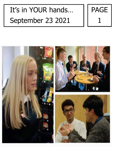

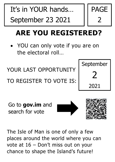

 YOU can only vote if you are on the electoral roll…

YOUR LAST OPPORTUNITY

TO REGISTER TO VOTE IS:



PAGE

2

Go to **gov.im** and search for vote





The Isle of Man is one of only a few places around the world where you can vote at 16 – Don't miss out on your chance to shape the Island's future!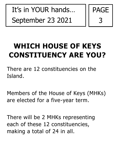

# **WHICH HOUSE OF KEYS CONSTITUENCY ARE YOU?**

There are 12 constituencies on the Island.

Members of the House of Keys (MHKs) are elected for a five-year term.

There will be 2 MHKs representing each of these 12 constituencies, making a total of 24 in all.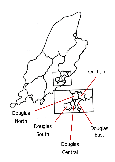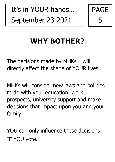

## **WHY BOTHER?**

The decisions made by MHKs… will directly affect the shape of YOUR lives…

MHKs will consider new laws and policies to do with your education, work prospects, university support and make decisions that impact upon you and your family.

YOU can only influence these decisions IF YOU vote.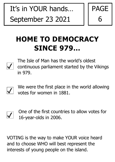

## **HOME TO DEMOCRACY SINCE 979…**



The Isle of Man has the world's oldest continuous parliament started by the Vikings in 979.



We were the first place in the world allowing votes for women in 1881.



VOTING is the way to make YOUR voice heard and to choose WHO will best represent the interests of young people on the island.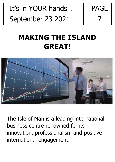

#### **MAKING THE ISLAND GREAT!**



The Isle of Man is a leading international business centre renowned for its innovation, professionalism and positive international engagement.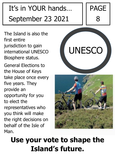

The Island is also the first entire jurisdiction to gain international UNESCO Biosphere status.

General Elections to the House of Keys take place once every five years. They provide an opportunity for you to elect the representatives who you think will make the right decisions on behalf of the Isle of Man.





#### **Use your vote to shape the Island's future.**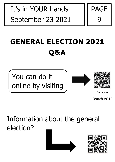

# **GENERAL ELECTION 2021 Q&A**







Gov.im

Search VOTE

#### Information about the general election?